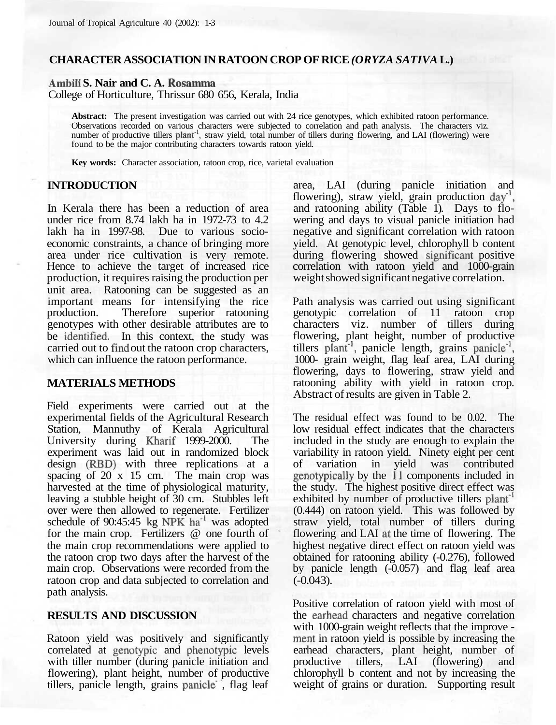# **CHARACTER ASSOCIATION IN RATOON CROP OF RICE** *(ORYZA SATIVA* **L.)**

**Ambili S. Nair and C. A. Rosamma**

College of Horticulture, Thrissur 680 656, Kerala, India

**Abstract:** The present investigation was carried out with 24 rice genotypes, which exhibited ratoon performance. Observations recorded on various characters were subjected to correlation and path analysis. The characters viz.<br>number of productive tillers plant<sup>-1</sup>, straw yield, total number of tillers during flowering, and LAI (flowe found to be the major contributing characters towards ratoon yield.

**Key words:** Character association, ratoon crop, rice, varietal evaluation

#### **INTRODUCTION**

In Kerala there has been a reduction of area under rice from 8.74 lakh ha in 1972-73 to 4.2 lakh ha in 1997-98. Due to various socioeconomic constraints, a chance of bringing more area under rice cultivation is very remote. Hence to achieve the target of increased rice production, it requires raising the production per unit area. Ratooning can be suggested as an important means for intensifying the rice production. Therefore superior ratooning genotypes with other desirable attributes are to be identified. In this context, the study was carried out to find out the ratoon crop characters, which can influence the ratoon performance.

#### **MATERIALS METHODS**

Field experiments were carried out at the experimental fields of the Agricultural Research Station, Mannuthy of Kerala Agricultural University during Kharif 1999-2000. The experiment was laid out in randomized block design (RED) with three replications at a spacing of 20 x 15 cm. The main crop was harvested at the time of physiological maturity, leaving a stubble height of 30 cm. Stubbles left over were then allowed to regenerate. Fertilizer schedule of 90:45:45 kg NPK ha<sup>-1</sup> was adopted for the main crop. Fertilizers @ one fourth of the main crop recommendations were applied to the ratoon crop two days after the harvest of the main crop. Observations were recorded from the ratoon crop and data subjected to correlation and path analysis.

### **RESULTS AND DISCUSSION**

Ratoon yield was positively and significantly correlated at genotypic and phenotypic levels with tiller number (during panicle initiation and flowering), plant height, number of productive tillers, panicle length, grains panicle' , flag leaf area, LAI (during panicle initiation and flowering), straw yield, grain production day<sup>-1</sup>, and ratooning ability (Table 1). Days to flowering and days to visual panicle initiation had negative and significant correlation with ratoon yield. At genotypic level, chlorophyll b content during flowering showed significant positive correlation with ratoon yield and 1000-grain weight showed significant negative correlation.

Path analysis was carried out using significant genotypic correlation of 11 ratoon crop characters viz. number of tillers during flowering, plant height, number of productive tillers plant<sup>-1</sup>, panicle length, grains panicle<sup>-1</sup>, 1000- grain weight, flag leaf area, LAI during flowering, days to flowering, straw yield and ratooning ability with yield in ratoon crop. Abstract of results are given in Table 2.

The residual effect was found to be 0.02. The low residual effect indicates that the characters included in the study are enough to explain the variability in ratoon yield. Ninety eight per cent of variation in yield was contributed genotypically by the 11 components included in the study. The highest positive direct effect was exhibited by number of productive tillers plant<sup>1</sup> (0.444) on ratoon yield. This was followed by straw yield, total number of tillers during flowering and LAI at the time of flowering. The highest negative direct effect on ratoon yield was obtained for ratooning ability (-0.276), followed by panicle length (-0.057) and flag leaf area (-0.043).

Positive correlation of ratoon yield with most of the earhead characters and negative correlation with 1000-grain weight reflects that the improve ment in ratoon yield is possible by increasing the earhead characters, plant height, number of productive tillers, LAI (flowering) and chlorophyll b content and not by increasing the weight of grains or duration. Supporting result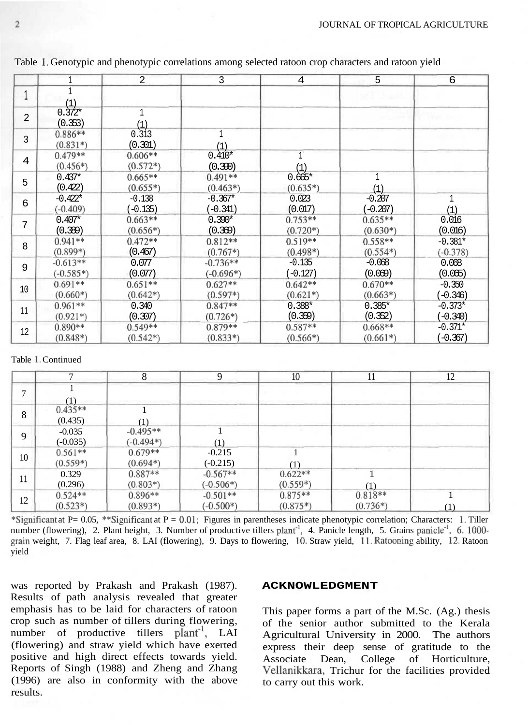|                |                           | 2                       | 3                         | 4                       | 5                       | 6                       |
|----------------|---------------------------|-------------------------|---------------------------|-------------------------|-------------------------|-------------------------|
|                | (1)                       |                         |                           |                         |                         |                         |
| $\overline{2}$ | $0.372*$<br>(0.353)       | 1<br>(1)                |                           |                         |                         |                         |
| 3              | $0.886**$<br>$(0.831*)$   | 0.313<br>(0.301)        | (1)                       |                         |                         |                         |
| 4              | $0.479**$<br>$(0.456*)$   | $0.606**$<br>$(0.572*)$ | $0.410*$<br>(0.390)       | (1)                     |                         |                         |
| 5              | $0.437*$<br>(0.422)       | $0.665**$<br>$(0.655*)$ | $0.491**$<br>$(0.463*)$   | $0.665*$<br>$(0.635*)$  | (1)                     |                         |
| 6              | $-0.422*$<br>$(-0.409)$   | $-0.138$<br>$(-0.135)$  | $-0.367*$<br>$(-0.341)$   | 0.023<br>(0.017)        | $-0.207$<br>$(-0.207)$  | (1)                     |
| 7              | $0.407*$<br>(0.389)       | $0.663**$<br>$(0.656*)$ | $0.390*$<br>(0.369)       | $0.753**$<br>$(0.720*)$ | $0.635**$<br>$(0.630*)$ | 0.016<br>(0.016)        |
| 8              | $0.941**$<br>$(0.899*)$   | $0.472**$<br>(0.467)    | $0.812**$<br>$(0.767*)$   | $0.519**$<br>$(0.498*)$ | $0.558**$<br>$(0.554*)$ | $-0.381*$<br>$(-0.378)$ |
| 9              | $-0.613**$<br>$(-0.585*)$ | 0.077<br>(0.077)        | $-0.736**$<br>$(-0.696*)$ | $-0.135$<br>$(-0.127)$  | $-0.068$<br>(0.069)     | 0.068<br>(0.065)        |
| 10             | $0.691**$<br>$(0.660*)$   | $0.651**$<br>$(0.642*)$ | $0.627**$<br>$(0.597*)$   | $0.642**$<br>$(0.621*)$ | $0.670**$<br>$(0.663*)$ | $-0.350$<br>$(-0.346)$  |
| 11             | $0.961**$<br>$(0.921*)$   | 0.340<br>(0.307)        | $0.847**$<br>$(0.726*)$   | $0.388*$<br>(0.359)     | $0.385*$<br>(0.352)     | $-0.373*$<br>$(-0.340)$ |
| 12             | $0.890**$<br>$(0.848*)$   | $0.549**$<br>$(0.542*)$ | $0.879**$<br>$(0.833*)$   | $0.587**$<br>$(0.566*)$ | $0.668**$<br>$(0.661*)$ | $-0.371*$<br>$(-0.367)$ |

Table 1. Genotypic and phenotypic correlations among selected ratoon crop characters and ratoon yield

#### Table 1. Continued

|    | $\mathbf{r}$            | 8                         | 9                         | 10                      | 11                      | 12  |
|----|-------------------------|---------------------------|---------------------------|-------------------------|-------------------------|-----|
|    | 11                      |                           |                           |                         |                         |     |
| 8  | $0.435**$<br>(0.435)    | (1)                       |                           |                         |                         |     |
| 9  | $-0.035$<br>$(-0.035)$  | $-0.495**$<br>$(-0.494*)$ | (1)                       |                         |                         |     |
| 10 | $0.561**$<br>$(0.559*)$ | $0.679**$<br>$(0.694*)$   | $-0.215$<br>$(-0.215)$    | $\scriptstyle{(1)}$     |                         |     |
| 11 | 0.329<br>(0.296)        | $0.887**$<br>$(0.803*)$   | $-0.567**$<br>$(-0.506*)$ | $0.622**$<br>$(0.559*)$ |                         |     |
| 12 | $0.524**$<br>$(0.523*)$ | $0.896**$<br>$(0.893*)$   | $-0.501**$<br>$(-0.500*)$ | $0.875**$<br>$(0.875*)$ | $0.818**$<br>$(0.736*)$ | (1) |

\*Significant at P= 0.05, \*\*Significant at P = 0.01; Figures in parentheses indicate phenotypic correlation; Characters: 1. Tiller number (flowering), 2. Plant height, 3. Number of productive tillers plant<sup>-1</sup>, 4. Panicle length, 5. Grains panicle<sup>-1</sup>, 6. 1000grain weight, 7. Flag leaf area, 8. LAI (flowering), 9. Days to flowering, 10. Straw yield, 11. Ratooning ability, 12. Ratoon yield

was reported by Prakash and Prakash (1987). Results of path analysis revealed that greater emphasis has to be laid for characters of ratoon crop such as number of tillers during flowering, number of productive tillers plant<sup>1</sup>, LAI (flowering) and straw yield which have exerted positive and high direct effects towards yield. Reports of Singh (1988) and Zheng and Zhang (1996) are also in conformity with the above results.

#### **ACKNOWLEDGMENT**

This paper forms a part of the M.Sc. (Ag.) thesis of the senior author submitted to the Kerala Agricultural University in 2000. The authors express their deep sense of gratitude to the Associate Dean, College of Horticulture, Vellanikkara, Trichur for the facilities provided to carry out this work.